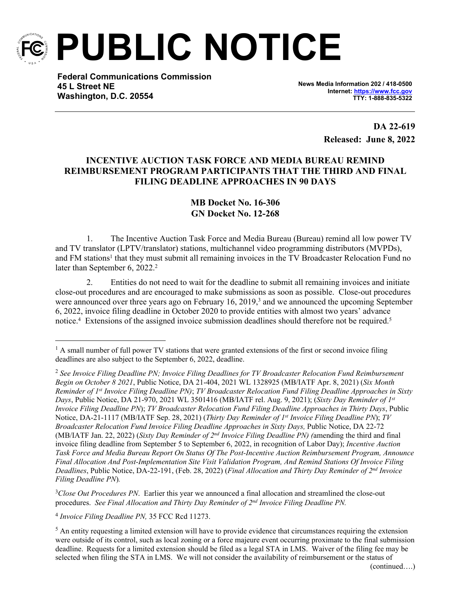

**PUBLIC NOTICE**

**Federal Communications Commission 45 L Street NE Washington, D.C. 20554**

**News Media Information 202 / 418-0500 Internet:<https://www.fcc.gov> TTY: 1-888-835-5322**

> **DA 22-619 Released: June 8, 2022**

## **INCENTIVE AUCTION TASK FORCE AND MEDIA BUREAU REMIND REIMBURSEMENT PROGRAM PARTICIPANTS THAT THE THIRD AND FINAL FILING DEADLINE APPROACHES IN 90 DAYS**

## **MB Docket No. 16-306 GN Docket No. 12-268**

1. The Incentive Auction Task Force and Media Bureau (Bureau) remind all low power TV and TV translator (LPTV/translator) stations, multichannel video programming distributors (MVPDs), and FM stations<sup>1</sup> that they must submit all remaining invoices in the TV Broadcaster Relocation Fund no later than September 6, 2022.<sup>2</sup>

2. Entities do not need to wait for the deadline to submit all remaining invoices and initiate close-out procedures and are encouraged to make submissions as soon as possible. Close-out procedures were announced over three years ago on February 16, 2019,<sup>3</sup> and we announced the upcoming September 6, 2022, invoice filing deadline in October 2020 to provide entities with almost two years' advance notice.<sup>4</sup> Extensions of the assigned invoice submission deadlines should therefore not be required.<sup>5</sup>

<sup>3</sup>Close Out Procedures PN. Earlier this year we announced a final allocation and streamlined the close-out procedures. *See Final Allocation and Thirty Day Reminder of 2nd Invoice Filing Deadline PN.*

4 *Invoice Filing Deadline PN,* 35 FCC Rcd 11273.

<sup>&</sup>lt;sup>1</sup> A small number of full power TV stations that were granted extensions of the first or second invoice filing deadlines are also subject to the September 6, 2022, deadline.

<sup>2</sup> *See Invoice Filing Deadline PN; Invoice Filing Deadlines for TV Broadcaster Relocation Fund Reimbursement Begin on October 8 2021*, Public Notice, DA 21-404, 2021 WL 1328925 (MB/IATF Apr. 8, 2021) (*Six Month Reminder of 1st Invoice Filing Deadline PN)*; *TV Broadcaster Relocation Fund Filing Deadline Approaches in Sixty Days*, Public Notice, DA 21-970, 2021 WL 3501416 (MB/IATF rel. Aug. 9, 2021); (*Sixty Day Reminder of 1st Invoice Filing Deadline PN*); *TV Broadcaster Relocation Fund Filing Deadline Approaches in Thirty Days*, Public Notice, DA-21-1117 (MB/IATF Sep. 28, 2021) (*Thirty Day Reminder of 1st Invoice Filing Deadline PN*); *TV Broadcaster Relocation Fund Invoice Filing Deadline Approaches in Sixty Days,* Public Notice, DA 22-72 (MB/IATF Jan. 22, 2022) (*Sixty Day Reminder of 2nd Invoice Filing Deadline PN) (*amending the third and final invoice filing deadline from September 5 to September 6, 2022, in recognition of Labor Day); *Incentive Auction Task Force and Media Bureau Report On Status Of The Post-Incentive Auction Reimbursement Program, Announce Final Allocation And Post-Implementation Site Visit Validation Program, And Remind Stations Of Invoice Filing Deadlines*, Public Notice, DA-22-191, (Feb. 28, 2022) (*Final Allocation and Thirty Day Reminder of 2nd Invoice Filing Deadline PN*)*.*

<sup>&</sup>lt;sup>5</sup> An entity requesting a limited extension will have to provide evidence that circumstances requiring the extension were outside of its control, such as local zoning or a force majeure event occurring proximate to the final submission deadline. Requests for a limited extension should be filed as a legal STA in LMS. Waiver of the filing fee may be selected when filing the STA in LMS. We will not consider the availability of reimbursement or the status of